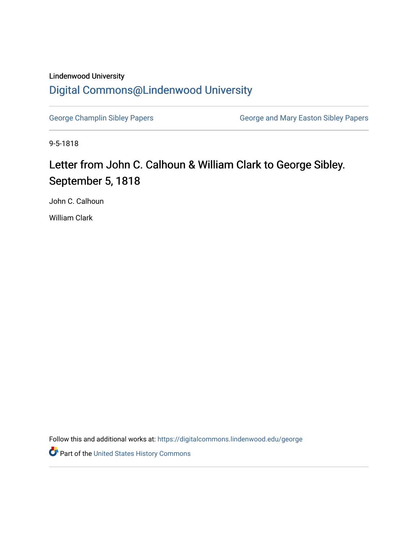## Lindenwood University [Digital Commons@Lindenwood University](https://digitalcommons.lindenwood.edu/)

[George Champlin Sibley Papers](https://digitalcommons.lindenwood.edu/george) **George and Mary Easton Sibley Papers** George and Mary Easton Sibley Papers

9-5-1818

## Letter from John C. Calhoun & William Clark to George Sibley. September 5, 1818

John C. Calhoun

William Clark

Follow this and additional works at: [https://digitalcommons.lindenwood.edu/george](https://digitalcommons.lindenwood.edu/george?utm_source=digitalcommons.lindenwood.edu%2Fgeorge%2F302&utm_medium=PDF&utm_campaign=PDFCoverPages)

Part of the [United States History Commons](http://network.bepress.com/hgg/discipline/495?utm_source=digitalcommons.lindenwood.edu%2Fgeorge%2F302&utm_medium=PDF&utm_campaign=PDFCoverPages)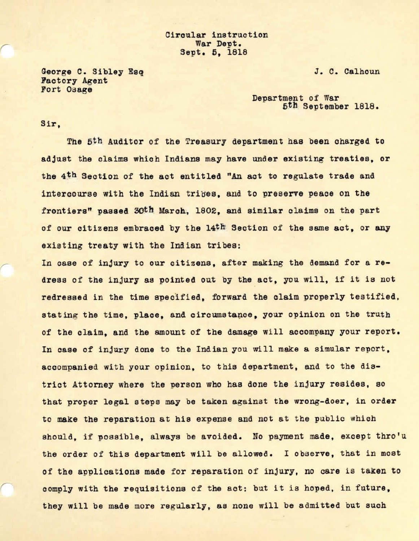Circular instruction War Dept. Sept. 5, 1818

J.C. Calhoun

George C. Sibley Esq **Factory Agent** Fort Osage

> Department of War 5th September 1818.

## Sir,

,-

The 5th Auditor of the Treasury department has been oharged to adjust the claims which Indians may have under existing treaties, or the 4<sup>th</sup> Section of the act entitled "An act to regulate trade and intercourse with the Indian tribes, and to preserve peace on the frontiers" **passed** 30th March, 1802, and similar claims on the part of our citizens embraced by the 14<sup>th</sup> Section of the same act, or any existing treaty with the Indian tribes:

In case of injury to our citizens, after making the demand for a redress of the injury as pointed out by the act, you will, if it is not redressed in the time specified, forward the claim properly testified, stating the time, place, and circumstance, your opinion on the truth of the claim, and the amount of the damage will accompany your report. In case of injury done to the Indian you will make a simular report, accompanied with your opinion, to this department, and to the district Attorney where the person who has done the injury resides, so that proper legal steps may be taken against the wrong-doer, in order to make the reparation at hie expense and not at the public which should, if possible, always be avoided. No payment **made,** except thro'u the order of this department will be allowed. I observe, that in most of the applications made for reparation of injury, no care is taken to comply with the requisitions of the act: but it is hoped, in future, they will be made more regularly, as none will be admitted but such